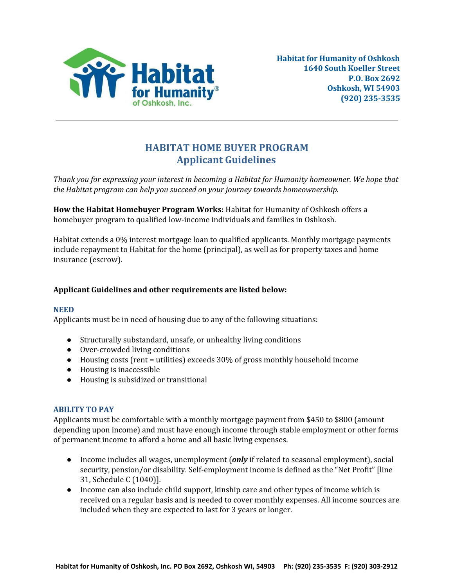

# **HABITAT HOME BUYER PROGRAM Applicant Guidelines**

*Thank you for expressing your interest in becoming a Habitat for Humanity homeowner. We hope that the Habitat program can help you succeed on your journey towards homeownership.*

**How the Habitat Homebuyer Program Works:** Habitat for Humanity of Oshkosh offers a homebuyer program to qualified low-income individuals and families in Oshkosh.

Habitat extends a 0% interest mortgage loan to qualified applicants. Monthly mortgage payments include repayment to Habitat for the home (principal), as well as for property taxes and home insurance (escrow).

# **Applicant Guidelines and other requirements are listed below:**

### **NEED**

Applicants must be in need of housing due to any of the following situations:

- Structurally substandard, unsafe, or unhealthy living conditions
- Over-crowded living conditions
- $\bullet$  Housing costs (rent = utilities) exceeds 30% of gross monthly household income
- Housing is inaccessible
- Housing is subsidized or transitional

### **ABILITY TO PAY**

Applicants must be comfortable with a monthly mortgage payment from \$450 to \$800 (amount depending upon income) and must have enough income through stable employment or other forms of permanent income to afford a home and all basic living expenses.

- Income includes all wages, unemployment (*only* if related to seasonal employment), social security, pension/or disability. Self-employment income is defined as the "Net Profit" [line 31, Schedule C (1040)].
- Income can also include child support, kinship care and other types of income which is received on a regular basis and is needed to cover monthly expenses. All income sources are included when they are expected to last for 3 years or longer.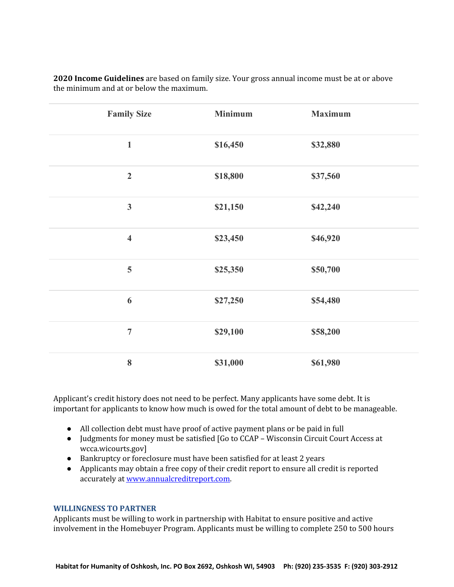| <b>Family Size</b>      | <b>Minimum</b> | <b>Maximum</b> |
|-------------------------|----------------|----------------|
| $\mathbf 1$             | \$16,450       | \$32,880       |
| $\overline{2}$          | \$18,800       | \$37,560       |
| $\mathbf{3}$            | \$21,150       | \$42,240       |
| $\overline{\mathbf{4}}$ | \$23,450       | \$46,920       |
| 5                       | \$25,350       | \$50,700       |
| 6                       | \$27,250       | \$54,480       |
| $\overline{7}$          | \$29,100       | \$58,200       |
| 8                       | \$31,000       | \$61,980       |

**2020 Income Guidelines** are based on family size. Your gross annual income must be at or above the minimum and at or below the maximum.

Applicant's credit history does not need to be perfect. Many applicants have some debt. It is important for applicants to know how much is owed for the total amount of debt to be manageable.

- All collection debt must have proof of active payment plans or be paid in full
- Judgments for money must be satisfied [Go to CCAP Wisconsin Circuit Court Access at wcca.wicourts.gov]
- Bankruptcy or foreclosure must have been satisfied for at least 2 years
- Applicants may obtain a free copy of their credit report to ensure all credit is reported accurately at [www.annualcreditreport.com](http://www.annualcreditreport.com/).

#### **WILLINGNESS TO PARTNER**

Applicants must be willing to work in partnership with Habitat to ensure positive and active involvement in the Homebuyer Program. Applicants must be willing to complete 250 to 500 hours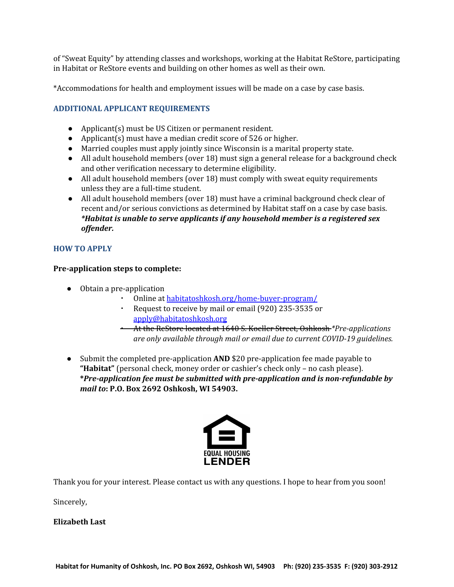of "Sweat Equity" by attending classes and workshops, working at the Habitat ReStore, participating in Habitat or ReStore events and building on other homes as well as their own.

\*Accommodations for health and employment issues will be made on a case by case basis.

# **ADDITIONAL APPLICANT REQUIREMENTS**

- Applicant(s) must be US Citizen or permanent resident.
- Applicant(s) must have a median credit score of  $526$  or higher.
- Married couples must apply jointly since Wisconsin is a marital property state.
- All adult household members (over 18) must sign a general release for a background check and other verification necessary to determine eligibility.
- All adult household members (over 18) must comply with sweat equity requirements unless they are a full-time student.
- *●* All adult household members (over 18) must have a criminal background check clear of recent and/or serious convictions as determined by Habitat staff on a case by case basis. *\*Habitat is unable to serve applicants if any household member is a registered sex offender.*

### **HOW TO APPLY**

### **Pre-application steps to complete:**

- Obtain a pre-application
	- Online at [habitatoshkosh.org/home-buyer-program/](http://habitatoshkosh.org/home-buyer-program/)
	- Request to receive by mail or email (920) 235-3535 or [apply@habitatoshkosh.org](http://apply@habitatoshkosh.org/)
	- At the ReStore located at 1640 S. Koeller Street, Oshkosh *\*Pre-applications are only available through mail or email due to current COVID-19 guidelines.*
- Submit the completed pre-application **AND** \$20 pre-application fee made payable to **"Habitat"** (personal check, money order or cashier's check only – no cash please). **\****Pre-application fee must be submitted with pre-application and is non-refundable by mail to***: P.O. Box 2692 Oshkosh, WI 54903.**



Thank you for your interest. Please contact us with any questions. I hope to hear from you soon!

Sincerely,

**Elizabeth Last**